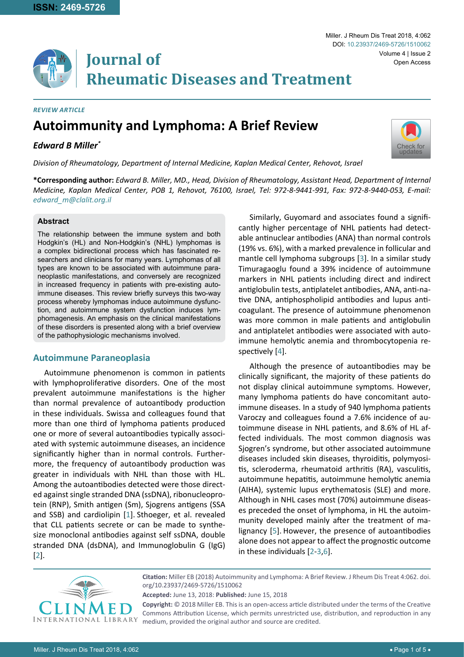#### *Review Article*

# **Autoimmunity and Lymphoma: A Brief Review**

## *Edward B Miller\**

Volume 4 | Issue 2 DOI: [10.23937/2469-5726/1510062](https://doi.org/10.23937/2469-5726/1510062) Open Access

Miller. J Rheum Dis Treat 2018, 4:062



*Division of Rheumatology, Department of Internal Medicine, Kaplan Medical Center, Rehovot, Israel*

**\*Corresponding author:** *Edward B. Miller, MD., Head, Division of Rheumatology, Assistant Head, Department of Internal Medicine, Kaplan Medical Center, POB 1, Rehovot, 76100, Israel, Tel: 972-8-9441-991, Fax: 972-8-9440-053, E-mail: edward\_m@clalit.org.il*

## **Abstract**

The relationship between the immune system and both Hodgkin's (HL) and Non-Hodgkin's (NHL) lymphomas is a complex bidirectional process which has fascinated researchers and clinicians for many years. Lymphomas of all types are known to be associated with autoimmune paraneoplastic manifestations, and conversely are recognized in increased frequency in patients with pre-existing autoimmune diseases. This review briefly surveys this two-way process whereby lymphomas induce autoimmune dysfunction, and autoimmune system dysfunction induces lymphomagenesis. An emphasis on the clinical manifestations of these disorders is presented along with a brief overview of the pathophysiologic mechanisms involved.

## **Autoimmune Paraneoplasia**

Autoimmune phenomenon is common in patients with lymphoproliferative disorders. One of the most prevalent autoimmune manifestations is the higher than normal prevalence of autoantibody production in these individuals. Swissa and colleagues found that more than one third of lymphoma patients produced one or more of several autoantibodies typically associated with systemic autoimmune diseases, an incidence significantly higher than in normal controls. Furthermore, the frequency of autoantibody production was greater in individuals with NHL than those with HL. Among the autoantibodies detected were those directed against single stranded DNA (ssDNA), ribonucleoprotein (RNP), Smith antigen (Sm), Sjogrens antigens (SSA and SSB) and cardiolipin [[1](#page-3-5)]. Sthoeger, et al. revealed that CLL patients secrete or can be made to synthesize monoclonal antibodies against self ssDNA, double stranded DNA (dsDNA), and Immunoglobulin G (IgG) [[2](#page-3-3)].

Similarly, Guyomard and associates found a significantly higher percentage of NHL patients had detectable antinuclear antibodies (ANA) than normal controls (19% vs. 6%), with a marked prevalence in follicular and mantle cell lymphoma subgroups [[3](#page-3-0)]. In a similar study Timuragaoglu found a 39% incidence of autoimmune markers in NHL patients including direct and indirect antiglobulin tests, antiplatelet antibodies, ANA, anti-native DNA, antiphospholipid antibodies and lupus anticoagulant. The presence of autoimmune phenomenon was more common in male patients and antiglobulin and antiplatelet antibodies were associated with autoimmune hemolytic anemia and thrombocytopenia respectively [[4\]](#page-3-1).

Although the presence of autoantibodies may be clinically significant, the majority of these patients do not display clinical autoimmune symptoms. However, many lymphoma patients do have concomitant autoimmune diseases. In a study of 940 lymphoma patients Varoczy and colleagues found a 7.6% incidence of autoimmune disease in NHL patients, and 8.6% of HL affected individuals. The most common diagnosis was Sjogren's syndrome, but other associated autoimmune diseases included skin diseases, thyroiditis, polymyositis, scleroderma, rheumatoid arthritis (RA), vasculitis, autoimmune hepatitis, autoimmune hemolytic anemia (AIHA), systemic lupus erythematosis (SLE) and more. Although in NHL cases most (70%) autoimmune diseases preceded the onset of lymphoma, in HL the autoimmunity developed mainly after the treatment of malignancy [[5](#page-3-2)]. However, the presence of autoantibodies alone does not appear to affect the prognostic outcome in these individuals [[2](#page-3-3)-[3](#page-3-0)[,6\]](#page-3-4).



**Citation:** Miller EB (2018) Autoimmunity and Lymphoma: A Brief Review. J Rheum Dis Treat 4:062. [doi.](https://doi.org/10.23937/2469-5726/1510062) [org/10.23937/2469-5726/1510062](https://doi.org/10.23937/2469-5726/1510062)

**Accepted:** June 13, 2018: **Published:** June 15, 2018

**Copyright:** © 2018 Miller EB. This is an open-access article distributed under the terms of the Creative Commons Attribution License, which permits unrestricted use, distribution, and reproduction in any medium, provided the original author and source are credited.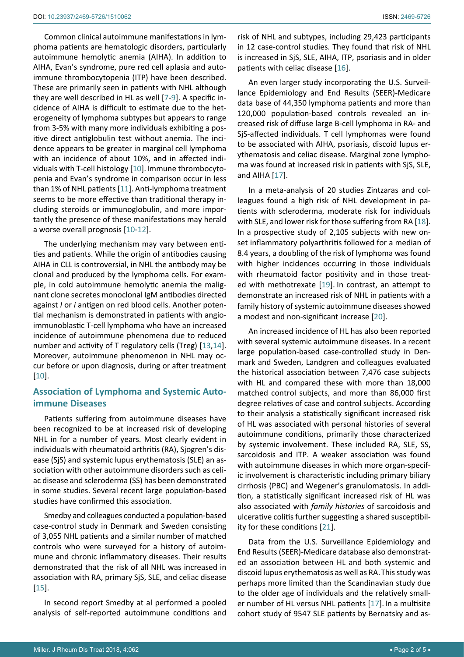Common clinical autoimmune manifestations in lymphoma patients are hematologic disorders, particularly autoimmune hemolytic anemia (AIHA). In addition to AIHA, Evan's syndrome, pure red cell aplasia and autoimmune thrombocytopenia (ITP) have been described. These are primarily seen in patients with NHL although they are well described in HL as well [[7](#page-3-12)-[9](#page-3-13)]. A specific incidence of AIHA is difficult to estimate due to the heterogeneity of lymphoma subtypes but appears to range from 3-5% with many more individuals exhibiting a positive direct antiglobulin test without anemia. The incidence appears to be greater in marginal cell lymphoma with an incidence of about 10%, and in affected individuals with T-cell histology [[10\]](#page-3-14).Immune thrombocytopenia and Evan's syndrome in comparison occur in less than 1% of NHL patients [[11](#page-3-15)]. Anti-lymphoma treatment seems to be more effective than traditional therapy including steroids or immunoglobulin, and more importantly the presence of these manifestations may herald a worse overall prognosis [[10](#page-3-14)-[12\]](#page-3-16).

The underlying mechanism may vary between entities and patients. While the origin of antibodies causing AIHA in CLL is controversial, in NHL the antibody may be clonal and produced by the lymphoma cells. For example, in cold autoimmune hemolytic anemia the malignant clone secretes monoclonal IgM antibodies directed against *I* or *i* antigen on red blood cells. Another potential mechanism is demonstrated in patients with angioimmunoblastic T-cell lymphoma who have an increased incidence of autoimmune phenomena due to reduced number and activity of T regulatory cells (Treg) [[13,](#page-3-17)[14](#page-3-18)]. Moreover, autoimmune phenomenon in NHL may occur before or upon diagnosis, during or after treatment [[10](#page-3-14)].

## **Association of Lymphoma and Systemic Autoimmune Diseases**

Patients suffering from autoimmune diseases have been recognized to be at increased risk of developing NHL in for a number of years. Most clearly evident in individuals with rheumatoid arthritis (RA), Sjogren's disease (SjS) and systemic lupus erythematosis (SLE) an association with other autoimmune disorders such as celiac disease and scleroderma (SS) has been demonstrated in some studies. Several recent large population-based studies have confirmed this association.

Smedby and colleagues conducted a population-based case-control study in Denmark and Sweden consisting of 3,055 NHL patients and a similar number of matched controls who were surveyed for a history of autoimmune and chronic inflammatory diseases. Their results demonstrated that the risk of all NHL was increased in association with RA, primary SjS, SLE, and celiac disease [[15](#page-3-19)].

In second report Smedby at al performed a pooled analysis of self-reported autoimmune conditions and

risk of NHL and subtypes, including 29,423 participants in 12 case-control studies. They found that risk of NHL is increased in SjS, SLE, AIHA, ITP, psoriasis and in older patients with celiac disease [[16\]](#page-3-6).

An even larger study incorporating the U.S. Surveillance Epidemiology and End Results (SEER)-Medicare data base of 44,350 lymphoma patients and more than 120,000 population-based controls revealed an increased risk of diffuse large B-cell lymphoma in RA- and SjS-affected individuals. T cell lymphomas were found to be associated with AIHA, psoriasis, discoid lupus erythematosis and celiac disease. Marginal zone lymphoma was found at increased risk in patients with SjS, SLE, and AIHA [[17](#page-3-7)].

In a meta-analysis of 20 studies Zintzaras and colleagues found a high risk of NHL development in patients with scleroderma, moderate risk for individuals with SLE, and lower risk for those suffering from RA [[18\]](#page-3-8). In a prospective study of 2,105 subjects with new onset inflammatory polyarthritis followed for a median of 8.4 years, a doubling of the risk of lymphoma was found with higher incidences occurring in those individuals with rheumatoid factor positivity and in those treated with methotrexate [[19\]](#page-3-9). In contrast, an attempt to demonstrate an increased risk of NHL in patients with a family history of systemic autoimmune diseases showed a modest and non-significant increase [[20](#page-3-10)].

An increased incidence of HL has also been reported with several systemic autoimmune diseases. In a recent large population-based case-controlled study in Denmark and Sweden, Landgren and colleagues evaluated the historical association between 7,476 case subjects with HL and compared these with more than 18,000 matched control subjects, and more than 86,000 first degree relatives of case and control subjects. According to their analysis a statistically significant increased risk of HL was associated with personal histories of several autoimmune conditions, primarily those characterized by systemic involvement. These included RA, SLE, SS, sarcoidosis and ITP. A weaker association was found with autoimmune diseases in which more organ-specific involvement is characteristic including primary biliary cirrhosis (PBC) and Wegener's granulomatosis. In addition, a statistically significant increased risk of HL was also associated with *family histories* of sarcoidosis and ulcerative colitis further suggesting a shared susceptibility for these conditions [[21\]](#page-3-11).

Data from the U.S. Surveillance Epidemiology and End Results (SEER)-Medicare database also demonstrated an association between HL and both systemic and discoid lupus erythematosis as well as RA.This study was perhaps more limited than the Scandinavian study due to the older age of individuals and the relatively smaller number of HL versus NHL patients [[17\]](#page-3-7). In a multisite cohort study of 9547 SLE patients by Bernatsky and as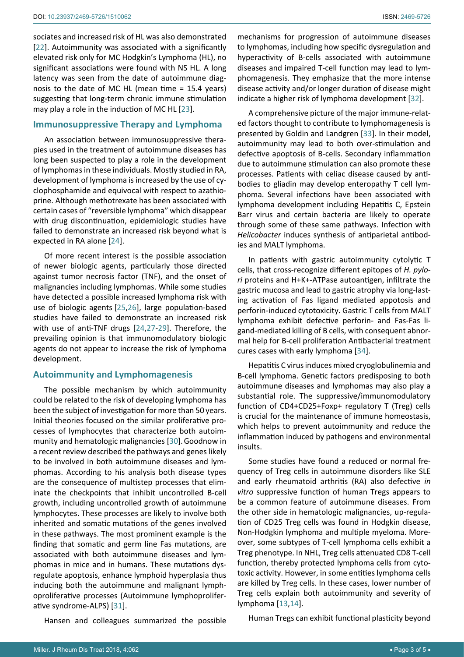sociates and increased risk of HL was also demonstrated [[22](#page-3-20)]. Autoimmunity was associated with a significantly elevated risk only for MC Hodgkin's Lymphoma (HL), no significant associations were found with NS HL. A long latency was seen from the date of autoimmune diagnosis to the date of MC HL (mean time = 15.4 years) suggesting that long-term chronic immune stimulation may play a role in the induction of MC HL [[23\]](#page-3-21).

## **Immunosuppressive Therapy and Lymphoma**

An association between immunosuppressive therapies used in the treatment of autoimmune diseases has long been suspected to play a role in the development of lymphomas in these individuals. Mostly studied in RA, development of lymphoma is increased by the use of cyclophosphamide and equivocal with respect to azathioprine. Although methotrexate has been associated with certain cases of "reversible lymphoma" which disappear with drug discontinuation, epidemiologic studies have failed to demonstrate an increased risk beyond what is expected in RA alone [[24\]](#page-3-22).

Of more recent interest is the possible association of newer biologic agents, particularly those directed against tumor necrosis factor (TNF), and the onset of malignancies including lymphomas. While some studies have detected a possible increased lymphoma risk with use of biologic agents [[25](#page-3-23)[,26](#page-3-24)], large population-based studies have failed to demonstrate an increased risk with use of anti-TNF drugs [[24,](#page-3-22)[27](#page-3-25)-[29\]](#page-3-26). Therefore, the prevailing opinion is that immunomodulatory biologic agents do not appear to increase the risk of lymphoma development.

## **Autoimmunity and Lymphomagenesis**

The possible mechanism by which autoimmunity could be related to the risk of developing lymphoma has been the subject of investigation for more than 50 years. Initial theories focused on the similar proliferative processes of lymphocytes that characterize both autoimmunity and hematologic malignancies [[30\]](#page-4-3).Goodnow in a recent review described the pathways and genes likely to be involved in both autoimmune diseases and lymphomas. According to his analysis both disease types are the consequence of multistep processes that eliminate the checkpoints that inhibit uncontrolled B-cell growth, including uncontrolled growth of autoimmune lymphocytes. These processes are likely to involve both inherited and somatic mutations of the genes involved in these pathways. The most prominent example is the finding that somatic and germ line Fas mutations, are associated with both autoimmune diseases and lymphomas in mice and in humans. These mutations dysregulate apoptosis, enhance lymphoid hyperplasia thus inducing both the autoimmune and malignant lymphoproliferative processes (Autoimmune lymphoproliferative syndrome-ALPS) [[31](#page-4-4)].

Hansen and colleagues summarized the possible

mechanisms for progression of autoimmune diseases to lymphomas, including how specific dysregulation and hyperactivity of B-cells associated with autoimmune diseases and impaired T-cell function may lead to lymphomagenesis. They emphasize that the more intense disease activity and/or longer duration of disease might indicate a higher risk of lymphoma development [[32](#page-4-0)].

A comprehensive picture of the major immune-related factors thought to contribute to lymphomagenesis is presented by Goldin and Landgren [[33](#page-4-1)]. In their model, autoimmunity may lead to both over-stimulation and defective apoptosis of B-cells. Secondary inflammation due to autoimmune stimulation can also promote these processes. Patients with celiac disease caused by antibodies to gliadin may develop enteropathy T cell lymphoma. Several infections have been associated with lymphoma development including Hepatitis C, Epstein Barr virus and certain bacteria are likely to operate through some of these same pathways. Infection with *Helicobacter* induces synthesis of antiparietal antibodies and MALT lymphoma.

In patients with gastric autoimmunity cytolytic T cells, that cross-recognize different epitopes of *H. pylori* proteins and H+K+-ATPase autoantigen, infiltrate the gastric mucosa and lead to gastric atrophy via long-lasting activation of Fas ligand mediated appotosis and perforin-induced cytotoxicity. Gastric T cells from MALT lymphoma exhibit defective perforin- and Fas-Fas ligand-mediated killing of B cells, with consequent abnormal help for B-cell proliferation Antibacterial treatment cures cases with early lymphoma [[34](#page-4-2)].

Hepatitis C virus induces mixed cryoglobulinemia and B-cell lymphoma. Genetic factors predisposing to both autoimmune diseases and lymphomas may also play a substantial role. The suppressive/immunomodulatory function of CD4+CD25+Foxp+ regulatory T (Treg) cells is crucial for the maintenance of immune homeostasis, which helps to prevent autoimmunity and reduce the inflammation induced by pathogens and environmental insults.

Some studies have found a reduced or normal frequency of Treg cells in autoimmune disorders like SLE and early rheumatoid arthritis (RA) also defective *in vitro* suppressive function of human Tregs appears to be a common feature of autoimmune diseases. From the other side in hematologic malignancies, up-regulation of CD25 Treg cells was found in Hodgkin disease, Non-Hodgkin lymphoma and multiple myeloma. Moreover, some subtypes of T-cell lymphoma cells exhibit a Treg phenotype. In NHL, Treg cells attenuated CD8 T-cell function, thereby protected lymphoma cells from cytotoxic activity. However, in some entities lymphoma cells are killed by Treg cells. In these cases, lower number of Treg cells explain both autoimmunity and severity of lymphoma [[13](#page-3-17)[,14](#page-3-18)].

Human Tregs can exhibit functional plasticity beyond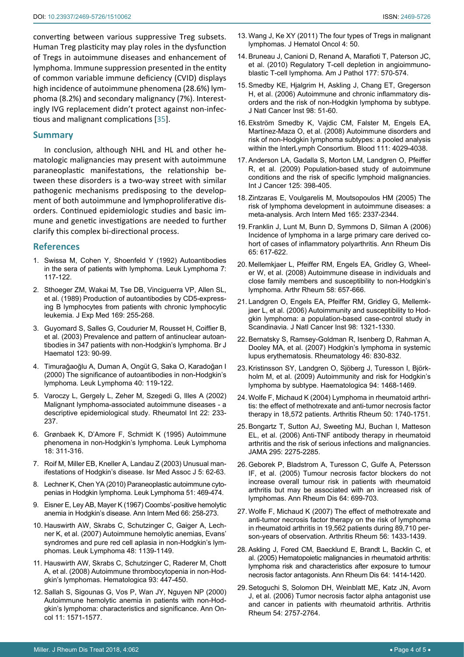converting between various suppressive Treg subsets. Human Treg plasticity may play roles in the dysfunction of Tregs in autoimmune diseases and enhancement of lymphoma. Immune suppression presented in the entity of common variable immune deficiency (CVID) displays high incidence of autoimmune phenomena (28.6%) lymphoma (8.2%) and secondary malignancy (7%). Interestingly IVG replacement didn't protect against non-infectious and malignant complications [[35\]](#page-4-5).

#### **Summary**

In conclusion, although NHL and HL and other hematologic malignancies may present with autoimmune paraneoplastic manifestations, the relationship between these disorders is a two-way street with similar pathogenic mechanisms predisposing to the development of both autoimmune and lymphoproliferative disorders. Continued epidemiologic studies and basic immune and genetic investigations are needed to further clarify this complex bi-directional process.

#### **References**

- <span id="page-3-5"></span>1. [Swissa M, Cohen Y, Shoenfeld Y \(1992\) Autoantibodies](https://www.ncbi.nlm.nih.gov/pubmed/1472921)  [in the sera of patients with lymphoma. Leuk Lymphoma 7:](https://www.ncbi.nlm.nih.gov/pubmed/1472921)  [117-122.](https://www.ncbi.nlm.nih.gov/pubmed/1472921)
- <span id="page-3-3"></span>2. [Sthoeger ZM, Wakai M, Tse DB, Vinciguerra VP, Allen SL,](https://www.ncbi.nlm.nih.gov/pubmed/2462608)  [et al. \(1989\) Production of autoantibodies by CD5-express](https://www.ncbi.nlm.nih.gov/pubmed/2462608)[ing B lymphocytes from patients with chronic lymphocytic](https://www.ncbi.nlm.nih.gov/pubmed/2462608)  [leukemia. J Exp Med 169: 255-268.](https://www.ncbi.nlm.nih.gov/pubmed/2462608)
- <span id="page-3-0"></span>3. [Guyomard S, Salles G, Coudurier M, Rousset H, Coiffier B,](https://www.ncbi.nlm.nih.gov/pubmed/14510947)  [et al. \(2003\) Prevalence and pattern of antinuclear autoan](https://www.ncbi.nlm.nih.gov/pubmed/14510947)[tibodies in 347 patients with non-Hodgkin's lymphoma. Br J](https://www.ncbi.nlm.nih.gov/pubmed/14510947)  [Haematol 123: 90-99.](https://www.ncbi.nlm.nih.gov/pubmed/14510947)
- <span id="page-3-1"></span>4. [Timurağaoğlu A, Duman A, Ongüt G, Saka O, Karadoğan I](https://www.ncbi.nlm.nih.gov/pubmed/11426612)  [\(2000\) The significance of autoantibodies in non-Hodgkin's](https://www.ncbi.nlm.nih.gov/pubmed/11426612)  [lymphoma. Leuk Lymphoma 40: 119-122.](https://www.ncbi.nlm.nih.gov/pubmed/11426612)
- <span id="page-3-2"></span>5. [Varoczy L, Gergely L, Zeher M, Szegedi G, Illes A \(2002\)](https://www.ncbi.nlm.nih.gov/pubmed/12426661)  [Malignant lymphoma-associated autoimmune diseases - a](https://www.ncbi.nlm.nih.gov/pubmed/12426661)  [descriptive epidemiological study. Rheumatol Int 22: 233-](https://www.ncbi.nlm.nih.gov/pubmed/12426661) [237.](https://www.ncbi.nlm.nih.gov/pubmed/12426661)
- <span id="page-3-4"></span>6. [Grønbaek K, D'Amore F, Schmidt K \(1995\) Autoimmune](https://www.ncbi.nlm.nih.gov/pubmed/8535198)  [phenomena in non-Hodgkin's lymphoma. Leuk Lymphoma](https://www.ncbi.nlm.nih.gov/pubmed/8535198)  [18: 311-316.](https://www.ncbi.nlm.nih.gov/pubmed/8535198)
- <span id="page-3-12"></span>7. [Roif M, Miller EB, Kneller A, Landau Z \(2003\) Unusual man](https://www.ncbi.nlm.nih.gov/pubmed/12592964)[ifestations of Hodgkin's disease. Isr Med Assoc J 5: 62-63.](https://www.ncbi.nlm.nih.gov/pubmed/12592964)
- 8. [Lechner K, Chen YA \(2010\) Paraneoplastic autoimmune cyto](https://www.ncbi.nlm.nih.gov/pubmed/20141438)[penias in Hodgkin lymphoma. Leuk Lymphoma 51: 469-474.](https://www.ncbi.nlm.nih.gov/pubmed/20141438)
- <span id="page-3-13"></span>9. [Eisner E, Ley AB, Mayer K \(1967\) Coombs'-positive hemolytic](https://www.ncbi.nlm.nih.gov/pubmed/6016540)  [anemia in Hodgkin's disease. Ann Intern Med 66: 258-273.](https://www.ncbi.nlm.nih.gov/pubmed/6016540)
- <span id="page-3-14"></span>10. [Hauswirth AW, Skrabs C, Schutzinger C, Gaiger A, Lech](https://www.ncbi.nlm.nih.gov/pubmed/17577777)[ner K, et al. \(2007\) Autoimmune hemolytic anemias, Evans'](https://www.ncbi.nlm.nih.gov/pubmed/17577777)  [syndromes and pure red cell aplasia in non-Hodgkin's lym](https://www.ncbi.nlm.nih.gov/pubmed/17577777)[phomas. Leuk Lymphoma 48: 1139-1149.](https://www.ncbi.nlm.nih.gov/pubmed/17577777)
- <span id="page-3-15"></span>11. [Hauswirth AW, Skrabs C, Schutzinger C, Raderer M, Chott](https://www.ncbi.nlm.nih.gov/pubmed/18287133)  [A, et al. \(2008\) Autoimmune thrombocytopenia in non-Hod](https://www.ncbi.nlm.nih.gov/pubmed/18287133)[gkin's lymphomas. Hematologica 93: 447-450.](https://www.ncbi.nlm.nih.gov/pubmed/18287133)
- <span id="page-3-16"></span>12. [Sallah S, Sigounas G, Vos P, Wan JY, Nguyen NP \(2000\)](https://www.ncbi.nlm.nih.gov/pubmed/11205465)  [Autoimmune hemolytic anemia in patients with non-Hod](https://www.ncbi.nlm.nih.gov/pubmed/11205465)[gkin's lymphoma: characteristics and significance. Ann On](https://www.ncbi.nlm.nih.gov/pubmed/11205465)[col 11: 1571-1577.](https://www.ncbi.nlm.nih.gov/pubmed/11205465)
- <span id="page-3-17"></span>13. [Wang J, Ke XY \(2011\) The four types of Tregs in malignant](https://www.ncbi.nlm.nih.gov/pubmed/22151904)  [lymphomas. J Hematol Oncol 4: 50.](https://www.ncbi.nlm.nih.gov/pubmed/22151904)
- <span id="page-3-18"></span>14. [Bruneau J, Canioni D, Renand A, Marafioti T, Paterson JC,](https://www.ncbi.nlm.nih.gov/pubmed/20566750)  [et al. \(2010\) Regulatory T-cell depletion in angioimmuno](https://www.ncbi.nlm.nih.gov/pubmed/20566750)[blastic T-cell lymphoma. Am J Pathol 177: 570-574.](https://www.ncbi.nlm.nih.gov/pubmed/20566750)
- <span id="page-3-19"></span>15. [Smedby KE, Hjalgrim H, Askling J, Chang ET, Gregerson](https://www.ncbi.nlm.nih.gov/pubmed/16391371)  [H, et al. \(2006\) Autoimmune and chronic inflammatory dis](https://www.ncbi.nlm.nih.gov/pubmed/16391371)[orders and the risk of non-Hodgkin lymphoma by subtype.](https://www.ncbi.nlm.nih.gov/pubmed/16391371)  [J Natl Cancer Inst 98: 51-60.](https://www.ncbi.nlm.nih.gov/pubmed/16391371)
- <span id="page-3-6"></span>16. [Ekström Smedby K, Vajdic CM, Falster M, Engels EA,](https://www.ncbi.nlm.nih.gov/pubmed/18263783)  [Martínez-Maza O, et al. \(2008\) Autoimmune disorders and](https://www.ncbi.nlm.nih.gov/pubmed/18263783)  [risk of non-Hodgkin lymphoma subtypes: a pooled analysis](https://www.ncbi.nlm.nih.gov/pubmed/18263783)  [within the InterLymph Consortium. Blood 111: 4029-4038.](https://www.ncbi.nlm.nih.gov/pubmed/18263783)
- <span id="page-3-7"></span>17. [Anderson LA, Gadalla S, Morton LM, Landgren O, Pfeiffer](https://www.ncbi.nlm.nih.gov/pubmed/19365835)  [R, et al. \(2009\) Population-based study of autoimmune](https://www.ncbi.nlm.nih.gov/pubmed/19365835)  [conditions and the risk of specific lymphoid malignancies.](https://www.ncbi.nlm.nih.gov/pubmed/19365835)  [Int J Cancer 125: 398-405.](https://www.ncbi.nlm.nih.gov/pubmed/19365835)
- <span id="page-3-8"></span>18. [Zintzaras E, Voulgarelis M, Moutsopoulos HM \(2005\) The](https://www.ncbi.nlm.nih.gov/pubmed/16287762)  [risk of lymphoma development in autoimmune diseases: a](https://www.ncbi.nlm.nih.gov/pubmed/16287762)  [meta-analysis. Arch Intern Med 165: 2337-2344.](https://www.ncbi.nlm.nih.gov/pubmed/16287762)
- <span id="page-3-9"></span>19. [Franklin J, Lunt M, Bunn D, Symmons D, Silman A \(2006\)](https://www.ncbi.nlm.nih.gov/pubmed/16249224)  [Incidence of lymphoma in a large primary care derived co](https://www.ncbi.nlm.nih.gov/pubmed/16249224)[hort of cases of inflammatory polyarthritis. Ann Rheum Dis](https://www.ncbi.nlm.nih.gov/pubmed/16249224)  [65: 617-622.](https://www.ncbi.nlm.nih.gov/pubmed/16249224)
- <span id="page-3-10"></span>20. [Mellemkjaer L, Pfeiffer RM, Engels EA, Gridley G, Wheel](https://www.ncbi.nlm.nih.gov/pubmed/18311836)[er W, et al. \(2008\) Autoimmune disease in individuals and](https://www.ncbi.nlm.nih.gov/pubmed/18311836)  [close family members and susceptibility to non-Hodgkin's](https://www.ncbi.nlm.nih.gov/pubmed/18311836)  [lymphoma. Arthr Rheum 58: 657-666.](https://www.ncbi.nlm.nih.gov/pubmed/18311836)
- <span id="page-3-11"></span>21. [Landgren O, Engels EA, Pfeiffer RM, Gridley G, Mellemk](https://www.ncbi.nlm.nih.gov/pubmed/16985251)[jaer L, et al. \(2006\) Autoimmunity and susceptibility to Hod](https://www.ncbi.nlm.nih.gov/pubmed/16985251)[gkin lymphoma: a population-based case-control study in](https://www.ncbi.nlm.nih.gov/pubmed/16985251)  [Scandinavia. J Natl Cancer Inst 98: 1321-1330.](https://www.ncbi.nlm.nih.gov/pubmed/16985251)
- <span id="page-3-20"></span>22. [Bernatsky S, Ramsey-Goldman R, Isenberg D, Rahman A,](https://www.ncbi.nlm.nih.gov/pubmed/17255135)  [Dooley MA, et al. \(2007\) Hodgkin's lymphoma in systemic](https://www.ncbi.nlm.nih.gov/pubmed/17255135)  [lupus erythematosis. Rheumatology 46: 830-832.](https://www.ncbi.nlm.nih.gov/pubmed/17255135)
- <span id="page-3-21"></span>23. [Kristinsson SY, Landgren O, Sjöberg J, Turesson I, Björk](https://www.ncbi.nlm.nih.gov/pubmed/19794095)[holm M, et al. \(2009\) Autoimmunity and risk for Hodgkin's](https://www.ncbi.nlm.nih.gov/pubmed/19794095)  [lymphoma by subtype. Haematologica 94: 1468-1469.](https://www.ncbi.nlm.nih.gov/pubmed/19794095)
- <span id="page-3-22"></span>24. [Wolfe F, Michaud K \(2004\) Lymphoma in rheumatoid arthri](https://www.ncbi.nlm.nih.gov/pubmed/15188349)[tis: the effect of methotrexate and anti-tumor necrosis factor](https://www.ncbi.nlm.nih.gov/pubmed/15188349)  [therapy in 18,572 patients. Arthritis Rheum 50: 1740-1751.](https://www.ncbi.nlm.nih.gov/pubmed/15188349)
- <span id="page-3-23"></span>25. [Bongartz T, Sutton AJ, Sweeting MJ, Buchan I, Matteson](https://www.ncbi.nlm.nih.gov/pubmed/16705109)  [EL, et al. \(2006\) Anti-TNF antibody therapy in rheumatoid](https://www.ncbi.nlm.nih.gov/pubmed/16705109)  [arthritis and the risk of serious infections and malignancies.](https://www.ncbi.nlm.nih.gov/pubmed/16705109)  [JAMA 295: 2275-2285.](https://www.ncbi.nlm.nih.gov/pubmed/16705109)
- <span id="page-3-24"></span>26. [Geborek P, Bladstrom A, Turesson C, Gulfe A, Petersson](https://www.ncbi.nlm.nih.gov/pubmed/15695534)  [IF, et al. \(2005\) Tumour necrosis factor blockers do not](https://www.ncbi.nlm.nih.gov/pubmed/15695534)  [increase overall tumour risk in patients with rheumatoid](https://www.ncbi.nlm.nih.gov/pubmed/15695534)  [arthritis but may be associated with an increased risk of](https://www.ncbi.nlm.nih.gov/pubmed/15695534)  [lymphomas. Ann Rheum Dis 64: 699-703.](https://www.ncbi.nlm.nih.gov/pubmed/15695534)
- <span id="page-3-25"></span>27. [Wolfe F, Michaud K \(2007\) The effect of methotrexate and](https://www.ncbi.nlm.nih.gov/pubmed/17469100)  [anti-tumor necrosis factor therapy on the risk of lymphoma](https://www.ncbi.nlm.nih.gov/pubmed/17469100)  [in rheumatoid arthritis in 19,562 patients during 89,710 per](https://www.ncbi.nlm.nih.gov/pubmed/17469100)[son-years of observation. Arthritis Rheum 56: 1433-1439.](https://www.ncbi.nlm.nih.gov/pubmed/17469100)
- 28. [Askling J, Fored CM, Baecklund E, Brandt L, Backlin C, et](https://www.ncbi.nlm.nih.gov/pubmed/15843454)  [al. \(2005\) Hematopoietic malignancies in rheumatoid arthritis:](https://www.ncbi.nlm.nih.gov/pubmed/15843454)  [lymphoma risk and characteristics after exposure to tumour](https://www.ncbi.nlm.nih.gov/pubmed/15843454)  [necrosis factor antagonists. Ann Rheum Dis 64: 1414-1420.](https://www.ncbi.nlm.nih.gov/pubmed/15843454)
- <span id="page-3-26"></span>29. [Setoguchi S, Solomon DH, Weinblatt ME, Katz JN, Avorn](https://www.ncbi.nlm.nih.gov/pubmed/16947774)  [J, et al. \(2006\) Tumor necrosis factor alpha antagonist use](https://www.ncbi.nlm.nih.gov/pubmed/16947774)  [and cancer in patients with rheumatoid arthritis. Arthritis](https://www.ncbi.nlm.nih.gov/pubmed/16947774)  [Rheum 54: 2757-2764.](https://www.ncbi.nlm.nih.gov/pubmed/16947774)